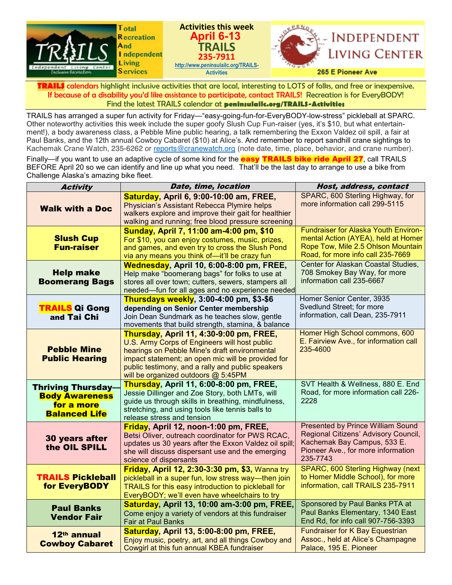

**TRAILS** calendars highlight inclusive activities that are local, interesting to LOTS of folks, and free or inexpensive. If because of a disability you'd like assistance to participate, contact TRAILS! Recreation is for EveryBODY! Find the latest TRAILS calendar at **peninsulailc.org/TRAILS-Activities**

TRAILS has arranged a super fun activity for Friday—"easy-going-fun-for-EveryBODY-low-stress" pickleball at SPARC. Other noteworthy activities this week include the super goofy Slush Cup Fun-raiser (yes, it's \$10, but what entertainment!), a body awareness class, a Pebble Mine public hearing, a talk remembering the Exxon Valdez oil spill, a fair at Paul Banks, and the 12th annual Cowboy Cabaret (\$10) at Alice's. And remember to report sandhill crane sightings to Kachemak Crane Watch, 235-6262 or [reports@cranewatch.org](mailto:reports@cranewatch.org) (note date, time, place, behavior, and crane number).

Finally—if you want to use an adaptive cycle of some kind for the **easy TRAILS bike ride April 27**, call TRAILS BEFORE April 20 so we can identify and line up what you need. That'll be the last day to arrange to use a bike from Challenge Alaska's amazing bike fleet.

| <b>Activity</b>                                                                          | Date, time, location                                                                                                                                                                                                                                                                        | Host, address, contact                                                                                                                                            |
|------------------------------------------------------------------------------------------|---------------------------------------------------------------------------------------------------------------------------------------------------------------------------------------------------------------------------------------------------------------------------------------------|-------------------------------------------------------------------------------------------------------------------------------------------------------------------|
| <b>Walk with a Doc</b>                                                                   | <b>Saturday, April 6, 9:00-10:00 am, FREE,</b><br>Physician's Assistant Rebecca Plymire helps<br>walkers explore and improve their gait for healthier<br>walking and running; free blood pressure screening                                                                                 | SPARC, 600 Sterling Highway, for<br>more information call 299-5115                                                                                                |
| <b>Slush Cup</b><br><b>Fun-raiser</b>                                                    | Sunday, April 7, 11:00 am-4:00 pm, \$10<br>For \$10, you can enjoy costumes, music, prizes,<br>and games, and even try to cross the Slush Pond<br>via any means you think of-it'll be crazy fun                                                                                             | <b>Fundraiser for Alaska Youth Environ-</b><br>mental Action (AYEA), held at Homer<br>Rope Tow, Mile 2.5 Ohlson Mountain<br>Road, for more info call 235-7669     |
| <b>Help make</b><br><b>Boomerang Bags</b>                                                | <b>Wednesday, April 10, 6:00-8:00 pm, FREE,</b><br>Help make "boomerang bags" for folks to use at<br>stores all over town; cutters, sewers, stampers all<br>needed-fun for all ages and no experience needed                                                                                | Center for Alaskan Coastal Studies,<br>708 Smokey Bay Way, for more<br>information call 235-6667                                                                  |
| <b>TRAILS Qi Gong</b><br>and Tai Chi                                                     | Thursdays weekly, 3:00-4:00 pm, \$3-\$6<br>depending on Senior Center membership<br>Join Dean Sundmark as he teaches slow, gentle<br>movements that build strength, stamina, & balance                                                                                                      | Homer Senior Center, 3935<br>Svedlund Street: for more<br>information, call Dean, 235-7911                                                                        |
| <b>Pebble Mine</b><br><b>Public Hearing</b>                                              | Thursday, April 11, 4:30-9:00 pm, FREE,<br>U.S. Army Corps of Engineers will host public<br>hearings on Pebble Mine's draft environmental<br>impact statement; an open mic will be provided for<br>public testimony, and a rally and public speakers<br>will be organized outdoors @ 5:45PM | Homer High School commons, 600<br>E. Fairview Ave., for information call<br>235-4600                                                                              |
| <b>Thriving Thursday-</b><br><b>Body Awareness</b><br>for a more<br><b>Balanced Life</b> | Thursday, April 11, 6:00-8:00 pm, FREE,<br>Jessie Dillinger and Zoe Story, both LMTs, will<br>guide us through skills in breathing, mindfulness,<br>stretching, and using tools like tennis balls to<br>release stress and tension                                                          | SVT Health & Wellness, 880 E. End<br>Road, for more information call 226-<br>2228                                                                                 |
| 30 years after<br>the OIL SPILL                                                          | Friday, April 12, noon-1:00 pm, FREE,<br>Betsi Oliver, outreach coordinator for PWS RCAC,<br>updates us 30 years after the Exxon Valdez oil spill;<br>she will discuss dispersant use and the emerging<br>science of dispersants                                                            | <b>Presented by Prince William Sound</b><br>Regional Citizens' Advisory Council,<br>Kachemak Bay Campus, 533 E.<br>Pioneer Ave., for more information<br>235-7743 |
| <b>TRAILS Pickleball</b><br>for EveryBODY                                                | <b>Friday, April 12, 2:30-3:30 pm, \$3, Wanna try</b><br>pickleball in a super fun, low stress way—then join<br>TRAILS for this easy introduction to pickleball for<br>EveryBODY; we'll even have wheelchairs to try                                                                        | SPARC, 600 Sterling Highway (next<br>to Homer Middle School), for more<br>information, call TRAILS 235-7911                                                       |
| <b>Paul Banks</b><br><b>Vendor Fair</b>                                                  | Saturday, April 13, 10:00 am-3:00 pm, FREE,<br>Come enjoy a variety of vendors at this fundraiser<br>Fair at Paul Banks                                                                                                                                                                     | Sponsored by Paul Banks PTA at<br>Paul Banks Elementary, 1340 East<br>End Rd, for info call 907-756-3393                                                          |
| 12th annual<br><b>Cowboy Cabaret</b>                                                     | Saturday, April 13, 5:00-8:00 pm, FREE,<br>Enjoy music, poetry, art, and all things Cowboy and<br>Cowgirl at this fun annual KBEA fundraiser                                                                                                                                                | Fundraiser for K Bay Equestrian<br>Assoc., held at Alice's Champagne<br>Palace, 195 E. Pioneer                                                                    |